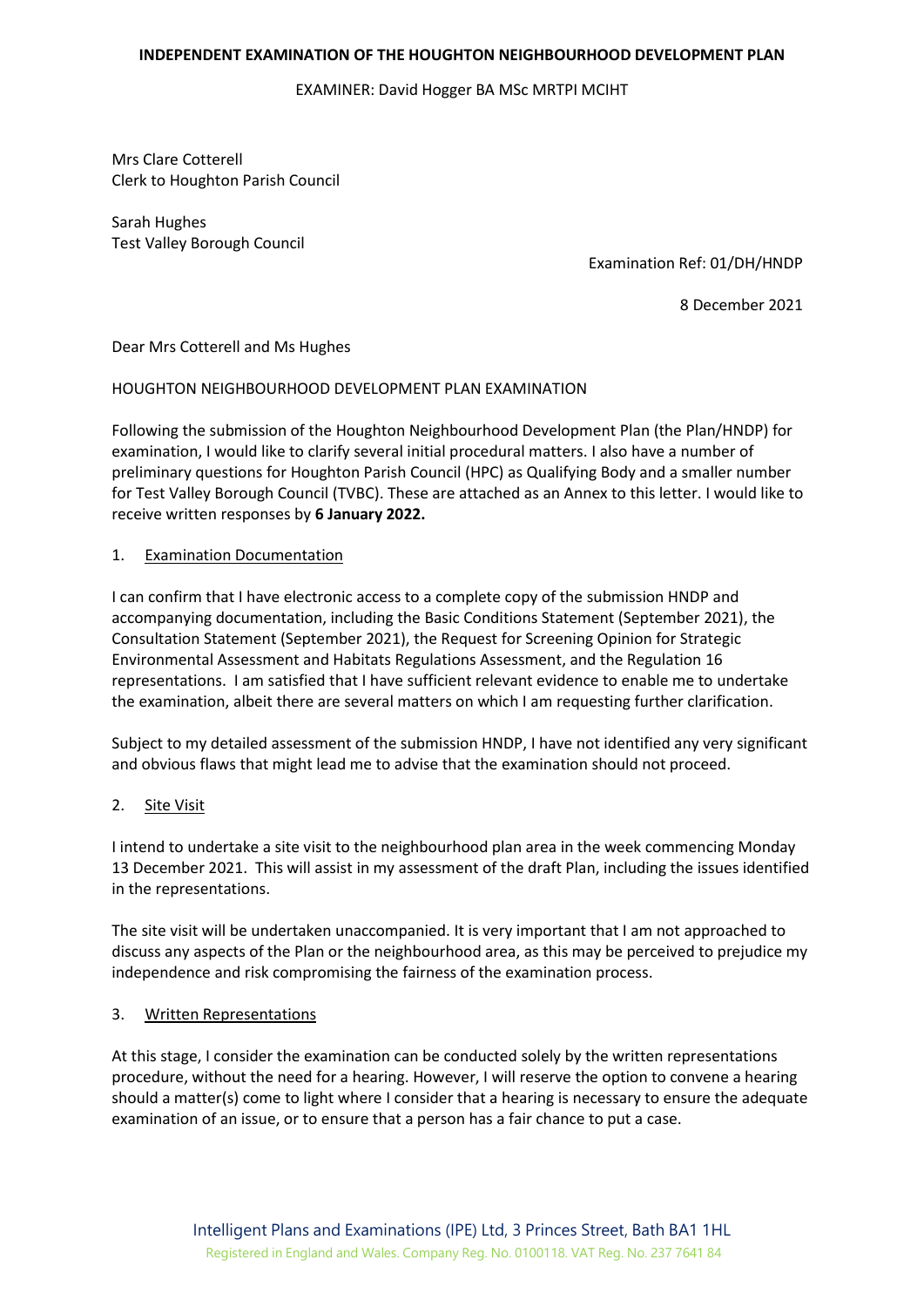#### **INDEPENDENT EXAMINATION OF THE HOUGHTON NEIGHBOURHOOD DEVELOPMENT PLAN**

EXAMINER: David Hogger BA MSc MRTPI MCIHT

Mrs Clare Cotterell Clerk to Houghton Parish Council

Sarah Hughes Test Valley Borough Council

Examination Ref: 01/DH/HNDP

8 December 2021

Dear Mrs Cotterell and Ms Hughes

#### HOUGHTON NEIGHBOURHOOD DEVELOPMENT PLAN EXAMINATION

Following the submission of the Houghton Neighbourhood Development Plan (the Plan/HNDP) for examination, I would like to clarify several initial procedural matters. I also have a number of preliminary questions for Houghton Parish Council (HPC) as Qualifying Body and a smaller number for Test Valley Borough Council (TVBC). These are attached as an Annex to this letter. I would like to receive written responses by **6 January 2022.**

#### 1. Examination Documentation

I can confirm that I have electronic access to a complete copy of the submission HNDP and accompanying documentation, including the Basic Conditions Statement (September 2021), the Consultation Statement (September 2021), the Request for Screening Opinion for Strategic Environmental Assessment and Habitats Regulations Assessment, and the Regulation 16 representations. I am satisfied that I have sufficient relevant evidence to enable me to undertake the examination, albeit there are several matters on which I am requesting further clarification.

Subject to my detailed assessment of the submission HNDP, I have not identified any very significant and obvious flaws that might lead me to advise that the examination should not proceed.

### 2. Site Visit

I intend to undertake a site visit to the neighbourhood plan area in the week commencing Monday 13 December 2021. This will assist in my assessment of the draft Plan, including the issues identified in the representations.

The site visit will be undertaken unaccompanied. It is very important that I am not approached to discuss any aspects of the Plan or the neighbourhood area, as this may be perceived to prejudice my independence and risk compromising the fairness of the examination process.

#### 3. Written Representations

At this stage, I consider the examination can be conducted solely by the written representations procedure, without the need for a hearing. However, I will reserve the option to convene a hearing should a matter(s) come to light where I consider that a hearing is necessary to ensure the adequate examination of an issue, or to ensure that a person has a fair chance to put a case.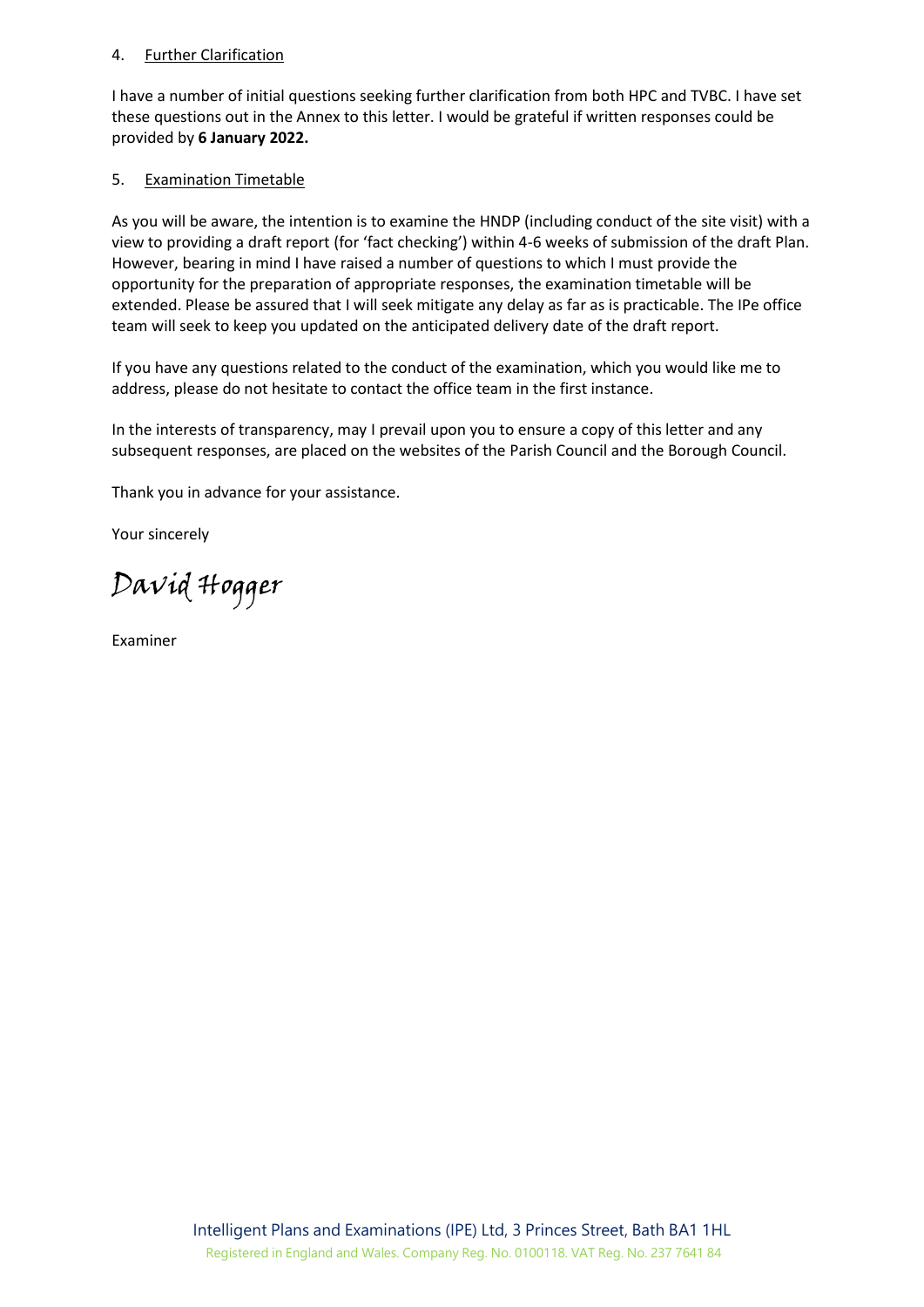## 4. Further Clarification

I have a number of initial questions seeking further clarification from both HPC and TVBC. I have set these questions out in the Annex to this letter. I would be grateful if written responses could be provided by **6 January 2022.**

## 5. Examination Timetable

As you will be aware, the intention is to examine the HNDP (including conduct of the site visit) with a view to providing a draft report (for 'fact checking') within 4-6 weeks of submission of the draft Plan. However, bearing in mind I have raised a number of questions to which I must provide the opportunity for the preparation of appropriate responses, the examination timetable will be extended. Please be assured that I will seek mitigate any delay as far as is practicable. The IPe office team will seek to keep you updated on the anticipated delivery date of the draft report.

If you have any questions related to the conduct of the examination, which you would like me to address, please do not hesitate to contact the office team in the first instance.

In the interests of transparency, may I prevail upon you to ensure a copy of this letter and any subsequent responses, are placed on the websites of the Parish Council and the Borough Council.

Thank you in advance for your assistance.

Your sincerely

David Hogger

Examiner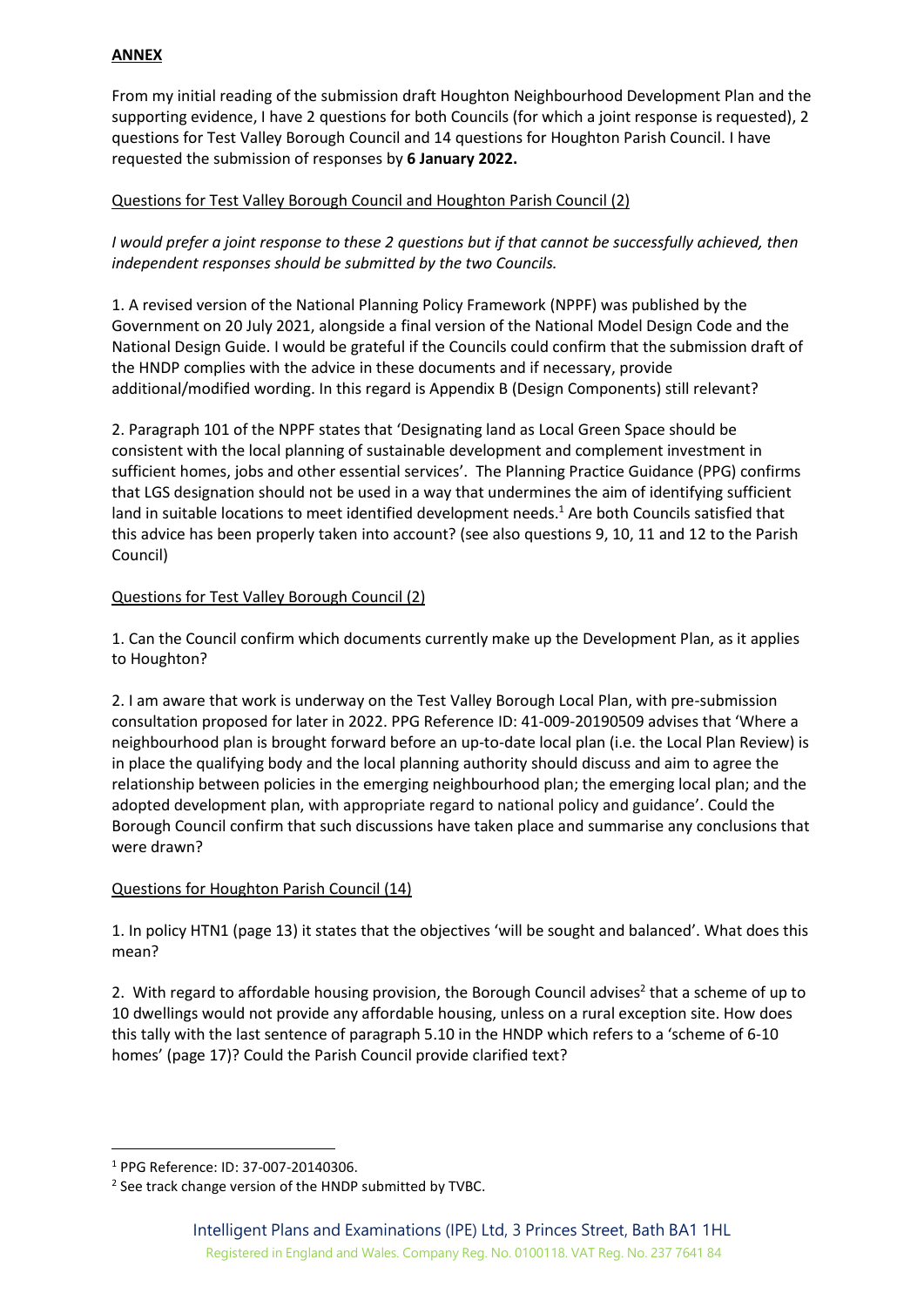# **ANNEX**

From my initial reading of the submission draft Houghton Neighbourhood Development Plan and the supporting evidence, I have 2 questions for both Councils (for which a joint response is requested), 2 questions for Test Valley Borough Council and 14 questions for Houghton Parish Council. I have requested the submission of responses by **6 January 2022.**

# Questions for Test Valley Borough Council and Houghton Parish Council (2)

*I would prefer a joint response to these 2 questions but if that cannot be successfully achieved, then independent responses should be submitted by the two Councils.*

1. A revised version of the National Planning Policy Framework (NPPF) was published by the Government on 20 July 2021, alongside a final version of the National Model Design Code and the National Design Guide. I would be grateful if the Councils could confirm that the submission draft of the HNDP complies with the advice in these documents and if necessary, provide additional/modified wording. In this regard is Appendix B (Design Components) still relevant?

2. Paragraph 101 of the NPPF states that 'Designating land as Local Green Space should be consistent with the local planning of sustainable development and complement investment in sufficient homes, jobs and other essential services'. The Planning Practice Guidance (PPG) confirms that LGS designation should not be used in a way that undermines the aim of identifying sufficient land in suitable locations to meet identified development needs.<sup>1</sup> Are both Councils satisfied that this advice has been properly taken into account? (see also questions 9, 10, 11 and 12 to the Parish Council)

# Questions for Test Valley Borough Council (2)

1. Can the Council confirm which documents currently make up the Development Plan, as it applies to Houghton?

2. I am aware that work is underway on the Test Valley Borough Local Plan, with pre-submission consultation proposed for later in 2022. PPG Reference ID: 41-009-20190509 advises that 'Where a neighbourhood plan is brought forward before an up-to-date local plan (i.e. the Local Plan Review) is in place the qualifying body and the local planning authority should discuss and aim to agree the relationship between policies in the emerging neighbourhood plan; the emerging local plan; and the adopted development plan, with appropriate regard to national policy and guidance'. Could the Borough Council confirm that such discussions have taken place and summarise any conclusions that were drawn?

# Questions for Houghton Parish Council (14)

1. In policy HTN1 (page 13) it states that the objectives 'will be sought and balanced'. What does this mean?

2. With regard to affordable housing provision, the Borough Council advises<sup>2</sup> that a scheme of up to 10 dwellings would not provide any affordable housing, unless on a rural exception site. How does this tally with the last sentence of paragraph 5.10 in the HNDP which refers to a 'scheme of 6-10 homes' (page 17)? Could the Parish Council provide clarified text?

<sup>1</sup> PPG Reference: ID: 37-007-20140306.

<sup>&</sup>lt;sup>2</sup> See track change version of the HNDP submitted by TVBC.